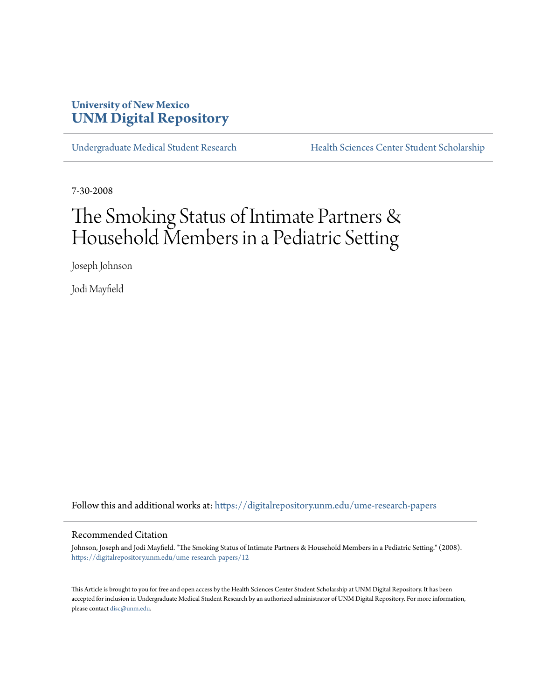### **University of New Mexico [UNM Digital Repository](https://digitalrepository.unm.edu?utm_source=digitalrepository.unm.edu%2Fume-research-papers%2F12&utm_medium=PDF&utm_campaign=PDFCoverPages)**

[Undergraduate Medical Student Research](https://digitalrepository.unm.edu/ume-research-papers?utm_source=digitalrepository.unm.edu%2Fume-research-papers%2F12&utm_medium=PDF&utm_campaign=PDFCoverPages) [Health Sciences Center Student Scholarship](https://digitalrepository.unm.edu/hsc-students?utm_source=digitalrepository.unm.edu%2Fume-research-papers%2F12&utm_medium=PDF&utm_campaign=PDFCoverPages)

7-30-2008

## The Smoking Status of Intimate Partners & Household Members in a Pediatric Setting

Joseph Johnson

Jodi Mayfield

Follow this and additional works at: [https://digitalrepository.unm.edu/ume-research-papers](https://digitalrepository.unm.edu/ume-research-papers?utm_source=digitalrepository.unm.edu%2Fume-research-papers%2F12&utm_medium=PDF&utm_campaign=PDFCoverPages)

#### Recommended Citation

Johnson, Joseph and Jodi Mayfield. "The Smoking Status of Intimate Partners & Household Members in a Pediatric Setting." (2008). [https://digitalrepository.unm.edu/ume-research-papers/12](https://digitalrepository.unm.edu/ume-research-papers/12?utm_source=digitalrepository.unm.edu%2Fume-research-papers%2F12&utm_medium=PDF&utm_campaign=PDFCoverPages)

This Article is brought to you for free and open access by the Health Sciences Center Student Scholarship at UNM Digital Repository. It has been accepted for inclusion in Undergraduate Medical Student Research by an authorized administrator of UNM Digital Repository. For more information, please contact [disc@unm.edu.](mailto:disc@unm.edu)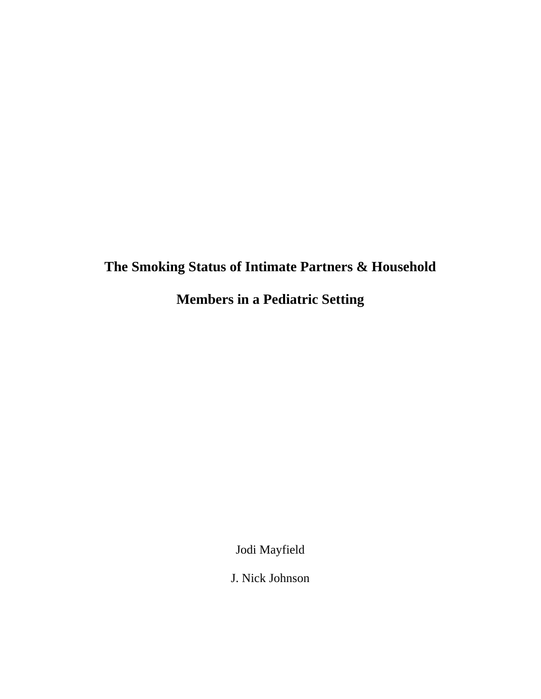# **The Smoking Status of Intimate Partners & Household**

**Members in a Pediatric Setting** 

Jodi Mayfield

J. Nick Johnson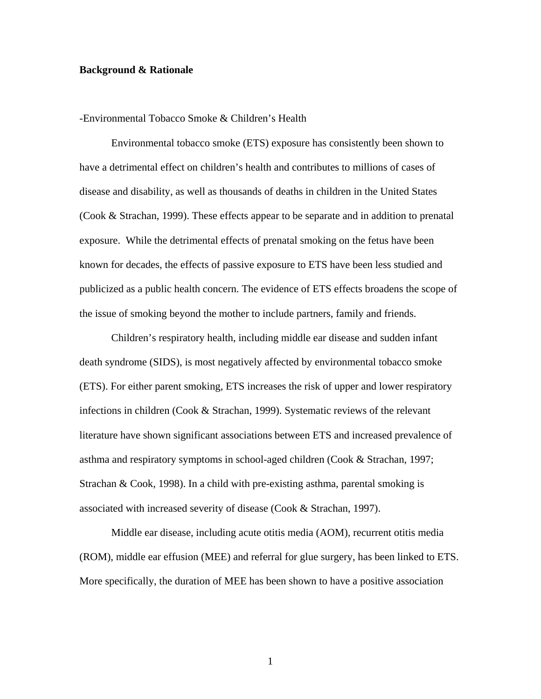#### **Background & Rationale**

#### -Environmental Tobacco Smoke & Children's Health

Environmental tobacco smoke (ETS) exposure has consistently been shown to have a detrimental effect on children's health and contributes to millions of cases of disease and disability, as well as thousands of deaths in children in the United States (Cook & Strachan, 1999). These effects appear to be separate and in addition to prenatal exposure. While the detrimental effects of prenatal smoking on the fetus have been known for decades, the effects of passive exposure to ETS have been less studied and publicized as a public health concern. The evidence of ETS effects broadens the scope of the issue of smoking beyond the mother to include partners, family and friends.

 Children's respiratory health, including middle ear disease and sudden infant death syndrome (SIDS), is most negatively affected by environmental tobacco smoke (ETS). For either parent smoking, ETS increases the risk of upper and lower respiratory infections in children (Cook & Strachan, 1999). Systematic reviews of the relevant literature have shown significant associations between ETS and increased prevalence of asthma and respiratory symptoms in school-aged children (Cook & Strachan, 1997; Strachan & Cook, 1998). In a child with pre-existing asthma, parental smoking is associated with increased severity of disease (Cook & Strachan, 1997).

 Middle ear disease, including acute otitis media (AOM), recurrent otitis media (ROM), middle ear effusion (MEE) and referral for glue surgery, has been linked to ETS. More specifically, the duration of MEE has been shown to have a positive association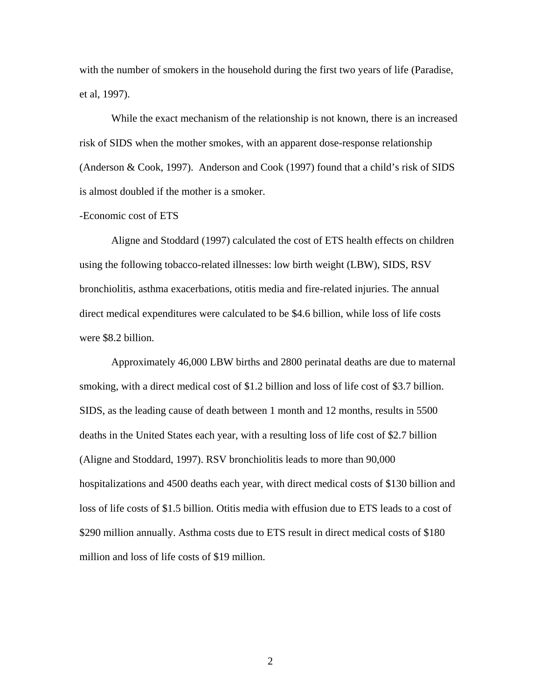with the number of smokers in the household during the first two years of life (Paradise, et al, 1997).

 While the exact mechanism of the relationship is not known, there is an increased risk of SIDS when the mother smokes, with an apparent dose-response relationship (Anderson & Cook, 1997). Anderson and Cook (1997) found that a child's risk of SIDS is almost doubled if the mother is a smoker.

#### -Economic cost of ETS

 Aligne and Stoddard (1997) calculated the cost of ETS health effects on children using the following tobacco-related illnesses: low birth weight (LBW), SIDS, RSV bronchiolitis, asthma exacerbations, otitis media and fire-related injuries. The annual direct medical expenditures were calculated to be \$4.6 billion, while loss of life costs were \$8.2 billion.

 Approximately 46,000 LBW births and 2800 perinatal deaths are due to maternal smoking, with a direct medical cost of \$1.2 billion and loss of life cost of \$3.7 billion. SIDS, as the leading cause of death between 1 month and 12 months, results in 5500 deaths in the United States each year, with a resulting loss of life cost of \$2.7 billion (Aligne and Stoddard, 1997). RSV bronchiolitis leads to more than 90,000 hospitalizations and 4500 deaths each year, with direct medical costs of \$130 billion and loss of life costs of \$1.5 billion. Otitis media with effusion due to ETS leads to a cost of \$290 million annually. Asthma costs due to ETS result in direct medical costs of \$180 million and loss of life costs of \$19 million.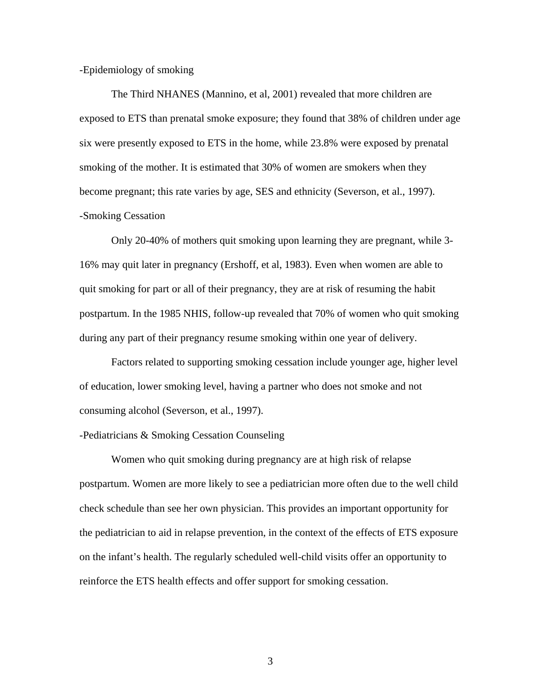#### -Epidemiology of smoking

 The Third NHANES (Mannino, et al, 2001) revealed that more children are exposed to ETS than prenatal smoke exposure; they found that 38% of children under age six were presently exposed to ETS in the home, while 23.8% were exposed by prenatal smoking of the mother. It is estimated that 30% of women are smokers when they become pregnant; this rate varies by age, SES and ethnicity (Severson, et al., 1997). -Smoking Cessation

Only 20-40% of mothers quit smoking upon learning they are pregnant, while 3- 16% may quit later in pregnancy (Ershoff, et al, 1983). Even when women are able to quit smoking for part or all of their pregnancy, they are at risk of resuming the habit postpartum. In the 1985 NHIS, follow-up revealed that 70% of women who quit smoking during any part of their pregnancy resume smoking within one year of delivery.

Factors related to supporting smoking cessation include younger age, higher level of education, lower smoking level, having a partner who does not smoke and not consuming alcohol (Severson, et al., 1997).

#### -Pediatricians & Smoking Cessation Counseling

Women who quit smoking during pregnancy are at high risk of relapse postpartum. Women are more likely to see a pediatrician more often due to the well child check schedule than see her own physician. This provides an important opportunity for the pediatrician to aid in relapse prevention, in the context of the effects of ETS exposure on the infant's health. The regularly scheduled well-child visits offer an opportunity to reinforce the ETS health effects and offer support for smoking cessation.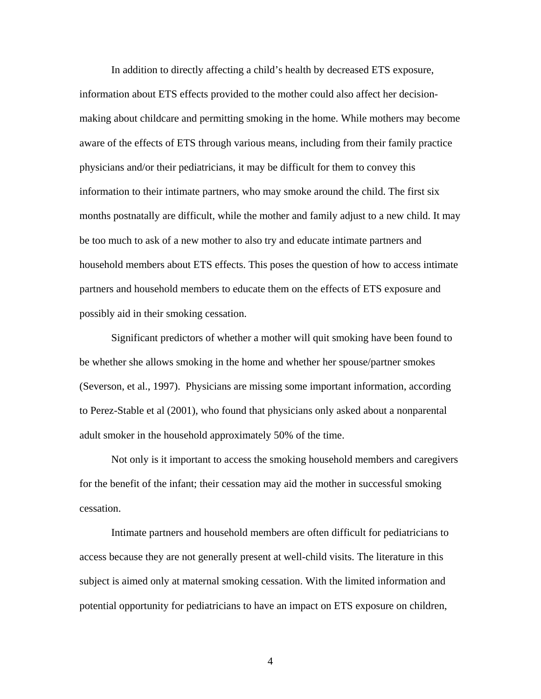In addition to directly affecting a child's health by decreased ETS exposure, information about ETS effects provided to the mother could also affect her decisionmaking about childcare and permitting smoking in the home. While mothers may become aware of the effects of ETS through various means, including from their family practice physicians and/or their pediatricians, it may be difficult for them to convey this information to their intimate partners, who may smoke around the child. The first six months postnatally are difficult, while the mother and family adjust to a new child. It may be too much to ask of a new mother to also try and educate intimate partners and household members about ETS effects. This poses the question of how to access intimate partners and household members to educate them on the effects of ETS exposure and possibly aid in their smoking cessation.

Significant predictors of whether a mother will quit smoking have been found to be whether she allows smoking in the home and whether her spouse/partner smokes (Severson, et al., 1997). Physicians are missing some important information, according to Perez-Stable et al (2001), who found that physicians only asked about a nonparental adult smoker in the household approximately 50% of the time.

 Not only is it important to access the smoking household members and caregivers for the benefit of the infant; their cessation may aid the mother in successful smoking cessation.

 Intimate partners and household members are often difficult for pediatricians to access because they are not generally present at well-child visits. The literature in this subject is aimed only at maternal smoking cessation. With the limited information and potential opportunity for pediatricians to have an impact on ETS exposure on children,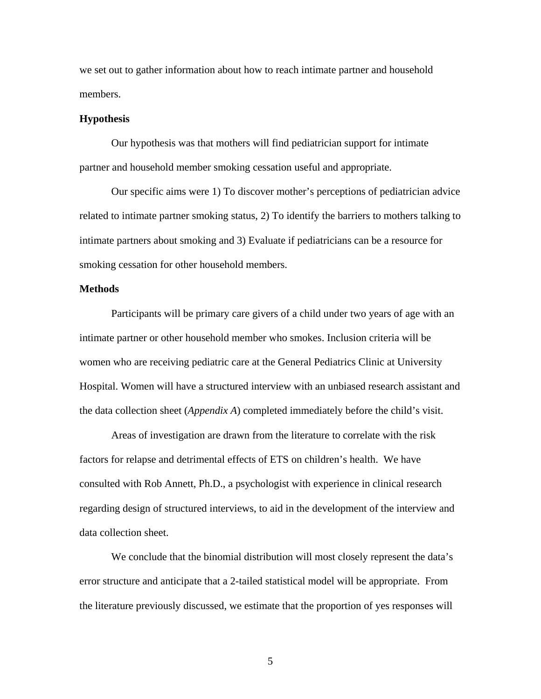we set out to gather information about how to reach intimate partner and household members.

#### **Hypothesis**

 Our hypothesis was that mothers will find pediatrician support for intimate partner and household member smoking cessation useful and appropriate.

Our specific aims were 1) To discover mother's perceptions of pediatrician advice related to intimate partner smoking status, 2) To identify the barriers to mothers talking to intimate partners about smoking and 3) Evaluate if pediatricians can be a resource for smoking cessation for other household members.

#### **Methods**

 Participants will be primary care givers of a child under two years of age with an intimate partner or other household member who smokes. Inclusion criteria will be women who are receiving pediatric care at the General Pediatrics Clinic at University Hospital. Women will have a structured interview with an unbiased research assistant and the data collection sheet (*Appendix A*) completed immediately before the child's visit.

 Areas of investigation are drawn from the literature to correlate with the risk factors for relapse and detrimental effects of ETS on children's health. We have consulted with Rob Annett, Ph.D., a psychologist with experience in clinical research regarding design of structured interviews, to aid in the development of the interview and data collection sheet.

We conclude that the binomial distribution will most closely represent the data's error structure and anticipate that a 2-tailed statistical model will be appropriate. From the literature previously discussed, we estimate that the proportion of yes responses will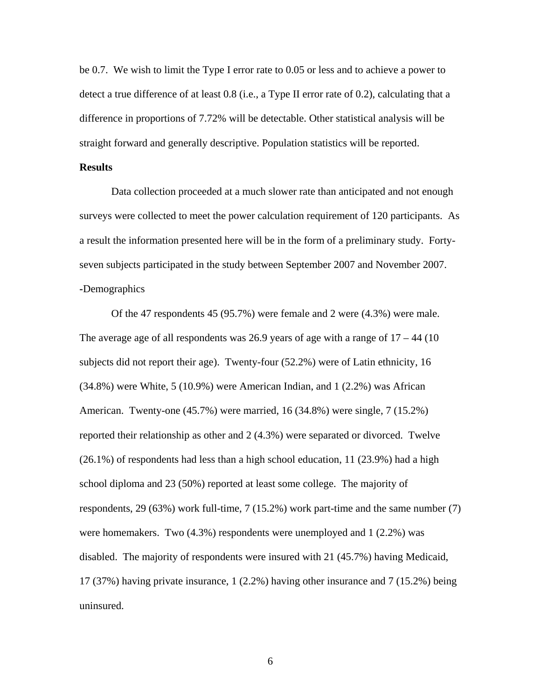be 0.7. We wish to limit the Type I error rate to 0.05 or less and to achieve a power to detect a true difference of at least 0.8 (i.e., a Type II error rate of 0.2), calculating that a difference in proportions of 7.72% will be detectable. Other statistical analysis will be straight forward and generally descriptive. Population statistics will be reported.

#### **Results**

Data collection proceeded at a much slower rate than anticipated and not enough surveys were collected to meet the power calculation requirement of 120 participants. As a result the information presented here will be in the form of a preliminary study. Fortyseven subjects participated in the study between September 2007 and November 2007. **-**Demographics

Of the 47 respondents 45 (95.7%) were female and 2 were (4.3%) were male. The average age of all respondents was 26.9 years of age with a range of  $17 - 44$  (10) subjects did not report their age). Twenty-four (52.2%) were of Latin ethnicity, 16 (34.8%) were White, 5 (10.9%) were American Indian, and 1 (2.2%) was African American. Twenty-one (45.7%) were married, 16 (34.8%) were single, 7 (15.2%) reported their relationship as other and 2 (4.3%) were separated or divorced. Twelve (26.1%) of respondents had less than a high school education, 11 (23.9%) had a high school diploma and 23 (50%) reported at least some college. The majority of respondents, 29 (63%) work full-time, 7 (15.2%) work part-time and the same number (7) were homemakers. Two  $(4.3\%)$  respondents were unemployed and  $1 (2.2\%)$  was disabled. The majority of respondents were insured with 21 (45.7%) having Medicaid, 17 (37%) having private insurance, 1 (2.2%) having other insurance and 7 (15.2%) being uninsured.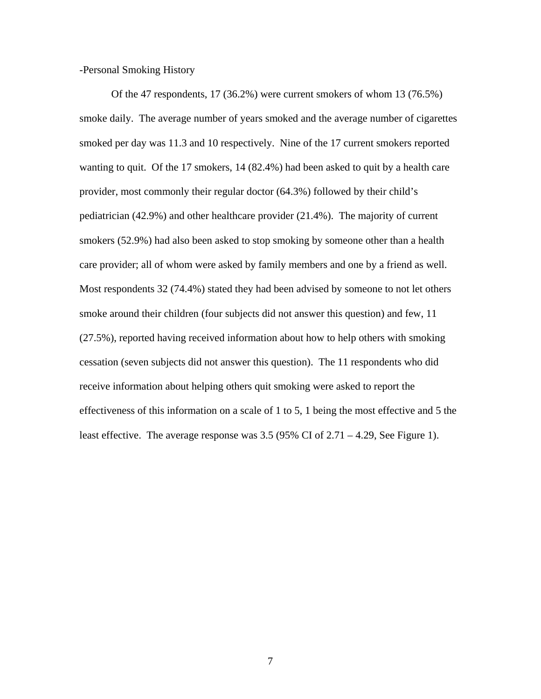-Personal Smoking History

Of the 47 respondents, 17 (36.2%) were current smokers of whom 13 (76.5%) smoke daily. The average number of years smoked and the average number of cigarettes smoked per day was 11.3 and 10 respectively. Nine of the 17 current smokers reported wanting to quit. Of the 17 smokers, 14 (82.4%) had been asked to quit by a health care provider, most commonly their regular doctor (64.3%) followed by their child's pediatrician (42.9%) and other healthcare provider (21.4%). The majority of current smokers (52.9%) had also been asked to stop smoking by someone other than a health care provider; all of whom were asked by family members and one by a friend as well. Most respondents 32 (74.4%) stated they had been advised by someone to not let others smoke around their children (four subjects did not answer this question) and few, 11 (27.5%), reported having received information about how to help others with smoking cessation (seven subjects did not answer this question). The 11 respondents who did receive information about helping others quit smoking were asked to report the effectiveness of this information on a scale of 1 to 5, 1 being the most effective and 5 the least effective. The average response was 3.5 (95% CI of 2.71 – 4.29, See Figure 1).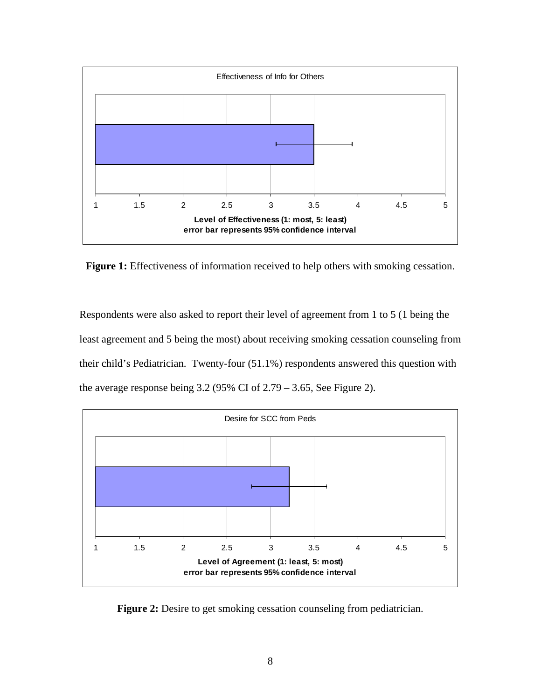

Figure 1: Effectiveness of information received to help others with smoking cessation.

Respondents were also asked to report their level of agreement from 1 to 5 (1 being the least agreement and 5 being the most) about receiving smoking cessation counseling from their child's Pediatrician. Twenty-four (51.1%) respondents answered this question with the average response being  $3.2$  (95% CI of  $2.79 - 3.65$ , See Figure 2).



**Figure 2:** Desire to get smoking cessation counseling from pediatrician.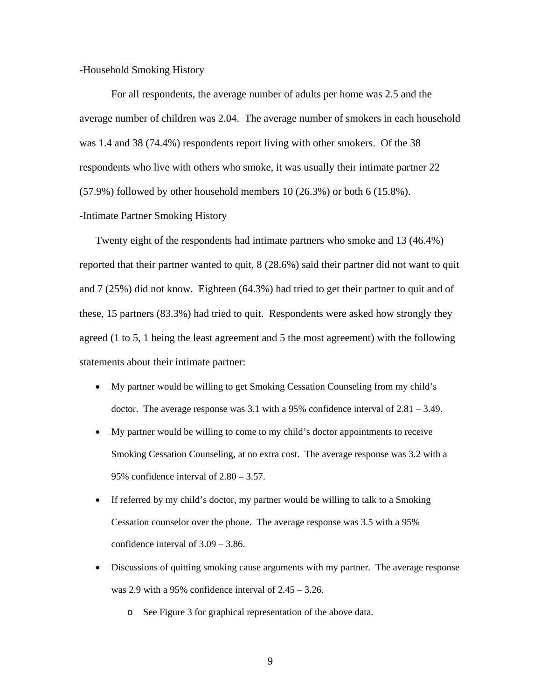**-**Household Smoking History

For all respondents, the average number of adults per home was 2.5 and the average number of children was 2.04. The average number of smokers in each household was 1.4 and 38 (74.4%) respondents report living with other smokers. Of the 38 respondents who live with others who smoke, it was usually their intimate partner 22 (57.9%) followed by other household members 10 (26.3%) or both 6 (15.8%). **-**Intimate Partner Smoking History

Twenty eight of the respondents had intimate partners who smoke and 13 (46.4%) reported that their partner wanted to quit, 8 (28.6%) said their partner did not want to quit and 7 (25%) did not know. Eighteen (64.3%) had tried to get their partner to quit and of these, 15 partners (83.3%) had tried to quit. Respondents were asked how strongly they agreed (1 to 5, 1 being the least agreement and 5 the most agreement) with the following statements about their intimate partner:

- My partner would be willing to get Smoking Cessation Counseling from my child's doctor. The average response was 3.1 with a 95% confidence interval of 2.81 – 3.49.
- My partner would be willing to come to my child's doctor appointments to receive Smoking Cessation Counseling, at no extra cost. The average response was 3.2 with a 95% confidence interval of 2.80 – 3.57.
- If referred by my child's doctor, my partner would be willing to talk to a Smoking Cessation counselor over the phone. The average response was 3.5 with a 95% confidence interval of 3.09 – 3.86.
- Discussions of quitting smoking cause arguments with my partner. The average response was 2.9 with a 95% confidence interval of  $2.45 - 3.26$ .
	- o See Figure 3 for graphical representation of the above data.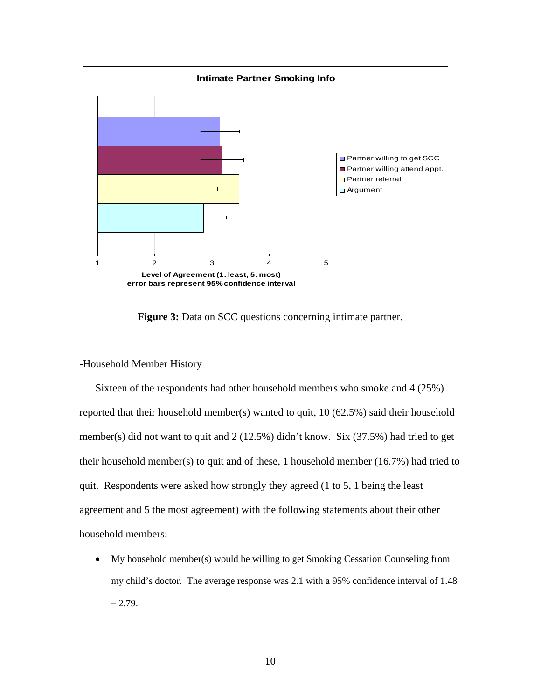

**Figure 3:** Data on SCC questions concerning intimate partner.

#### **-**Household Member History

Sixteen of the respondents had other household members who smoke and 4 (25%) reported that their household member(s) wanted to quit, 10 (62.5%) said their household member(s) did not want to quit and 2 (12.5%) didn't know. Six (37.5%) had tried to get their household member(s) to quit and of these, 1 household member (16.7%) had tried to quit. Respondents were asked how strongly they agreed (1 to 5, 1 being the least agreement and 5 the most agreement) with the following statements about their other household members:

• My household member(s) would be willing to get Smoking Cessation Counseling from my child's doctor. The average response was 2.1 with a 95% confidence interval of 1.48  $-2.79.$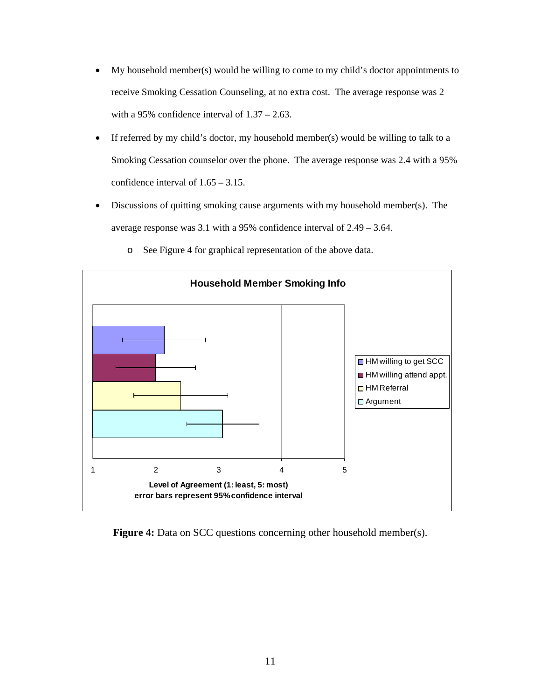- My household member(s) would be willing to come to my child's doctor appointments to receive Smoking Cessation Counseling, at no extra cost. The average response was 2 with a 95% confidence interval of  $1.37 - 2.63$ .
- If referred by my child's doctor, my household member(s) would be willing to talk to a Smoking Cessation counselor over the phone. The average response was 2.4 with a 95% confidence interval of 1.65 – 3.15.
- Discussions of quitting smoking cause arguments with my household member(s). The average response was 3.1 with a 95% confidence interval of 2.49 – 3.64.



o See Figure 4 for graphical representation of the above data.

**Figure 4:** Data on SCC questions concerning other household member(s).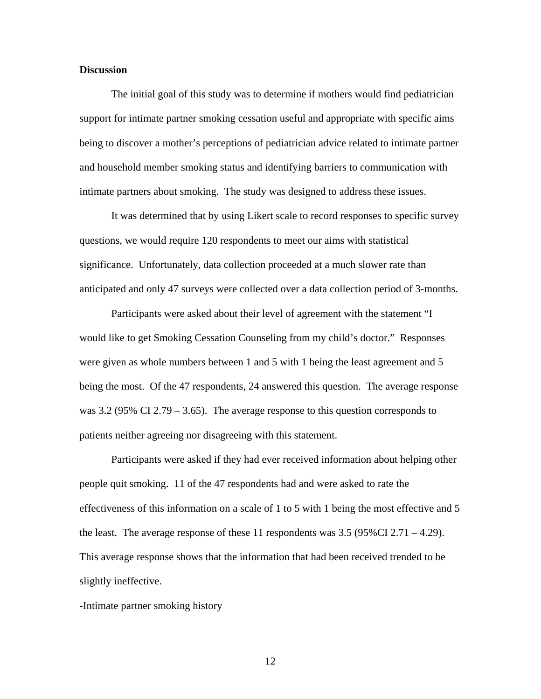#### **Discussion**

 The initial goal of this study was to determine if mothers would find pediatrician support for intimate partner smoking cessation useful and appropriate with specific aims being to discover a mother's perceptions of pediatrician advice related to intimate partner and household member smoking status and identifying barriers to communication with intimate partners about smoking. The study was designed to address these issues.

 It was determined that by using Likert scale to record responses to specific survey questions, we would require 120 respondents to meet our aims with statistical significance. Unfortunately, data collection proceeded at a much slower rate than anticipated and only 47 surveys were collected over a data collection period of 3-months.

 Participants were asked about their level of agreement with the statement "I would like to get Smoking Cessation Counseling from my child's doctor." Responses were given as whole numbers between 1 and 5 with 1 being the least agreement and 5 being the most. Of the 47 respondents, 24 answered this question. The average response was 3.2 (95% CI 2.79 – 3.65). The average response to this question corresponds to patients neither agreeing nor disagreeing with this statement.

 Participants were asked if they had ever received information about helping other people quit smoking. 11 of the 47 respondents had and were asked to rate the effectiveness of this information on a scale of 1 to 5 with 1 being the most effective and 5 the least. The average response of these 11 respondents was  $3.5$  (95%CI 2.71 – 4.29). This average response shows that the information that had been received trended to be slightly ineffective.

**-**Intimate partner smoking history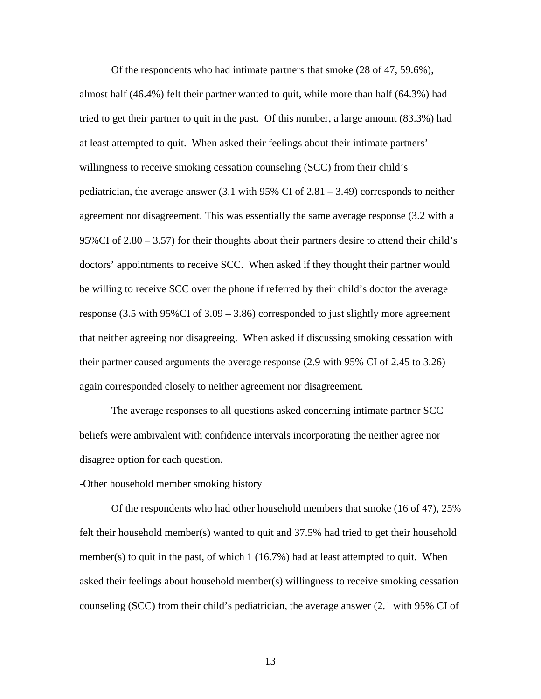Of the respondents who had intimate partners that smoke (28 of 47, 59.6%), almost half (46.4%) felt their partner wanted to quit, while more than half (64.3%) had tried to get their partner to quit in the past. Of this number, a large amount (83.3%) had at least attempted to quit. When asked their feelings about their intimate partners' willingness to receive smoking cessation counseling (SCC) from their child's pediatrician, the average answer  $(3.1 \text{ with } 95\% \text{ CI of } 2.81 - 3.49)$  corresponds to neither agreement nor disagreement. This was essentially the same average response (3.2 with a 95%CI of 2.80 – 3.57) for their thoughts about their partners desire to attend their child's doctors' appointments to receive SCC. When asked if they thought their partner would be willing to receive SCC over the phone if referred by their child's doctor the average response (3.5 with 95%CI of 3.09 – 3.86) corresponded to just slightly more agreement that neither agreeing nor disagreeing. When asked if discussing smoking cessation with their partner caused arguments the average response (2.9 with 95% CI of 2.45 to 3.26) again corresponded closely to neither agreement nor disagreement.

 The average responses to all questions asked concerning intimate partner SCC beliefs were ambivalent with confidence intervals incorporating the neither agree nor disagree option for each question.

#### -Other household member smoking history

 Of the respondents who had other household members that smoke (16 of 47), 25% felt their household member(s) wanted to quit and 37.5% had tried to get their household member(s) to quit in the past, of which 1 (16.7%) had at least attempted to quit. When asked their feelings about household member(s) willingness to receive smoking cessation counseling (SCC) from their child's pediatrician, the average answer (2.1 with 95% CI of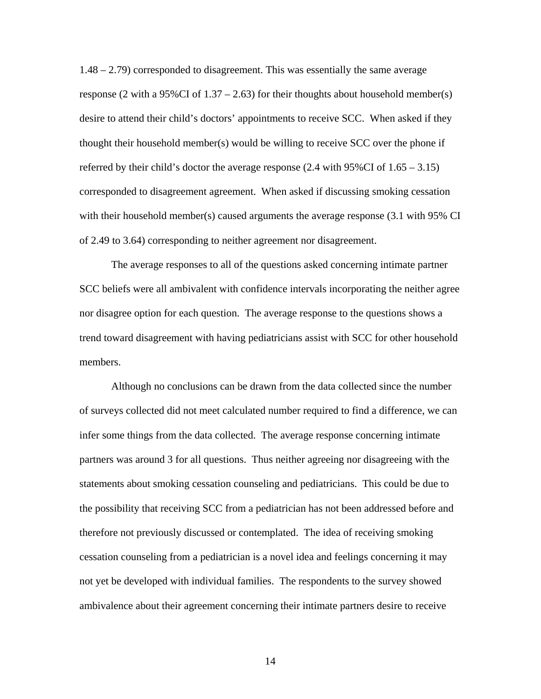1.48 – 2.79) corresponded to disagreement. This was essentially the same average response (2 with a 95%CI of  $1.37 - 2.63$ ) for their thoughts about household member(s) desire to attend their child's doctors' appointments to receive SCC. When asked if they thought their household member(s) would be willing to receive SCC over the phone if referred by their child's doctor the average response  $(2.4 \text{ with } 95\% \text{ CI of } 1.65 - 3.15)$ corresponded to disagreement agreement. When asked if discussing smoking cessation with their household member(s) caused arguments the average response (3.1 with 95% CI of 2.49 to 3.64) corresponding to neither agreement nor disagreement.

 The average responses to all of the questions asked concerning intimate partner SCC beliefs were all ambivalent with confidence intervals incorporating the neither agree nor disagree option for each question. The average response to the questions shows a trend toward disagreement with having pediatricians assist with SCC for other household members.

 Although no conclusions can be drawn from the data collected since the number of surveys collected did not meet calculated number required to find a difference, we can infer some things from the data collected. The average response concerning intimate partners was around 3 for all questions. Thus neither agreeing nor disagreeing with the statements about smoking cessation counseling and pediatricians. This could be due to the possibility that receiving SCC from a pediatrician has not been addressed before and therefore not previously discussed or contemplated. The idea of receiving smoking cessation counseling from a pediatrician is a novel idea and feelings concerning it may not yet be developed with individual families. The respondents to the survey showed ambivalence about their agreement concerning their intimate partners desire to receive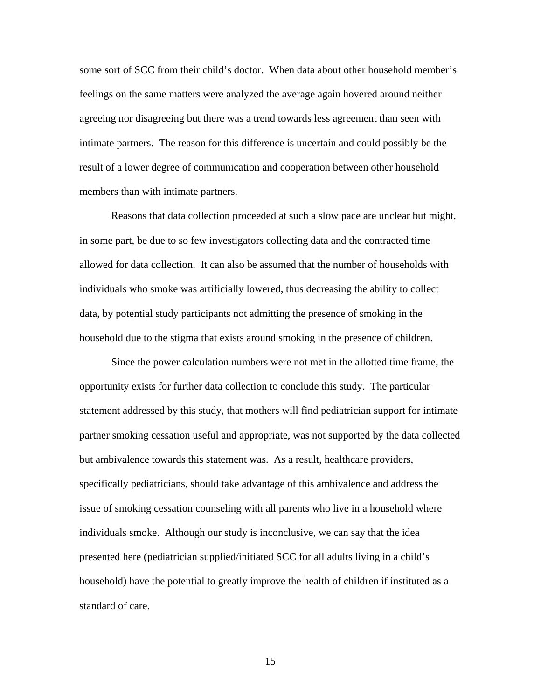some sort of SCC from their child's doctor. When data about other household member's feelings on the same matters were analyzed the average again hovered around neither agreeing nor disagreeing but there was a trend towards less agreement than seen with intimate partners. The reason for this difference is uncertain and could possibly be the result of a lower degree of communication and cooperation between other household members than with intimate partners.

 Reasons that data collection proceeded at such a slow pace are unclear but might, in some part, be due to so few investigators collecting data and the contracted time allowed for data collection. It can also be assumed that the number of households with individuals who smoke was artificially lowered, thus decreasing the ability to collect data, by potential study participants not admitting the presence of smoking in the household due to the stigma that exists around smoking in the presence of children.

 Since the power calculation numbers were not met in the allotted time frame, the opportunity exists for further data collection to conclude this study. The particular statement addressed by this study, that mothers will find pediatrician support for intimate partner smoking cessation useful and appropriate, was not supported by the data collected but ambivalence towards this statement was. As a result, healthcare providers, specifically pediatricians, should take advantage of this ambivalence and address the issue of smoking cessation counseling with all parents who live in a household where individuals smoke. Although our study is inconclusive, we can say that the idea presented here (pediatrician supplied/initiated SCC for all adults living in a child's household) have the potential to greatly improve the health of children if instituted as a standard of care.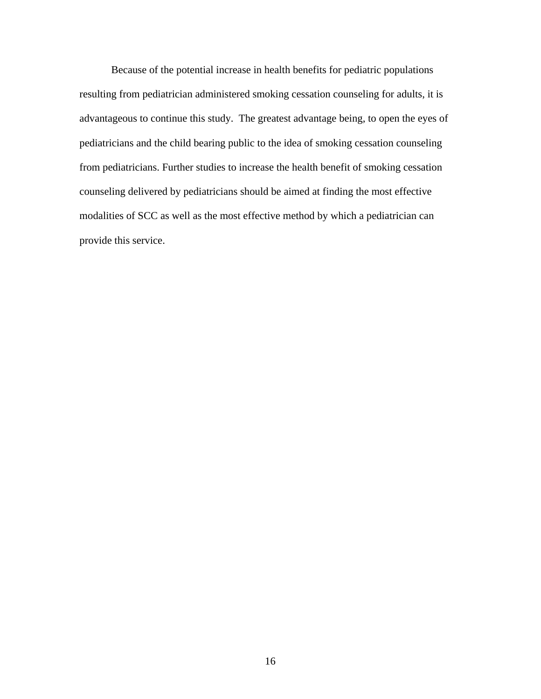Because of the potential increase in health benefits for pediatric populations resulting from pediatrician administered smoking cessation counseling for adults, it is advantageous to continue this study. The greatest advantage being, to open the eyes of pediatricians and the child bearing public to the idea of smoking cessation counseling from pediatricians. Further studies to increase the health benefit of smoking cessation counseling delivered by pediatricians should be aimed at finding the most effective modalities of SCC as well as the most effective method by which a pediatrician can provide this service.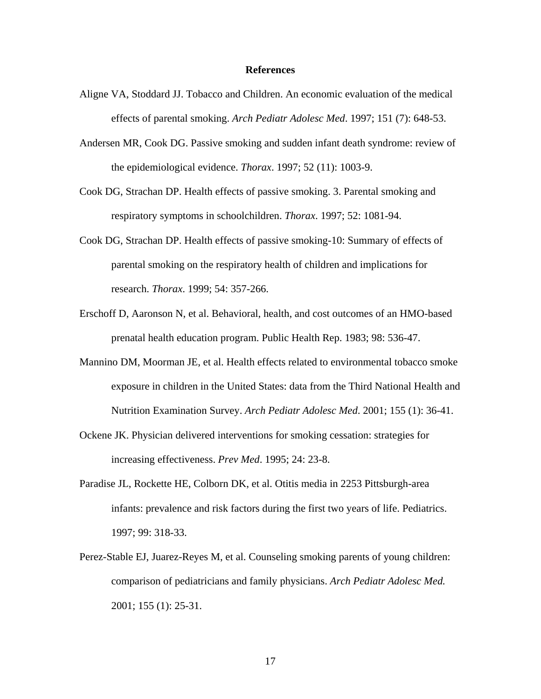#### **References**

- Aligne VA, Stoddard JJ. Tobacco and Children. An economic evaluation of the medical effects of parental smoking. *Arch Pediatr Adolesc Med*. 1997; 151 (7): 648-53.
- Andersen MR, Cook DG. Passive smoking and sudden infant death syndrome: review of the epidemiological evidence. *Thorax*. 1997; 52 (11): 1003-9.
- Cook DG, Strachan DP. Health effects of passive smoking. 3. Parental smoking and respiratory symptoms in schoolchildren. *Thorax*. 1997; 52: 1081-94.
- Cook DG, Strachan DP. Health effects of passive smoking-10: Summary of effects of parental smoking on the respiratory health of children and implications for research. *Thorax*. 1999; 54: 357-266.
- Erschoff D, Aaronson N, et al. Behavioral, health, and cost outcomes of an HMO-based prenatal health education program. Public Health Rep. 1983; 98: 536-47.
- Mannino DM, Moorman JE, et al. Health effects related to environmental tobacco smoke exposure in children in the United States: data from the Third National Health and Nutrition Examination Survey. *Arch Pediatr Adolesc Med*. 2001; 155 (1): 36-41.
- Ockene JK. Physician delivered interventions for smoking cessation: strategies for increasing effectiveness. *Prev Med*. 1995; 24: 23-8.
- Paradise JL, Rockette HE, Colborn DK, et al. Otitis media in 2253 Pittsburgh-area infants: prevalence and risk factors during the first two years of life. Pediatrics. 1997; 99: 318-33.
- Perez-Stable EJ, Juarez-Reyes M, et al. Counseling smoking parents of young children: comparison of pediatricians and family physicians. *Arch Pediatr Adolesc Med.*  2001; 155 (1): 25-31.